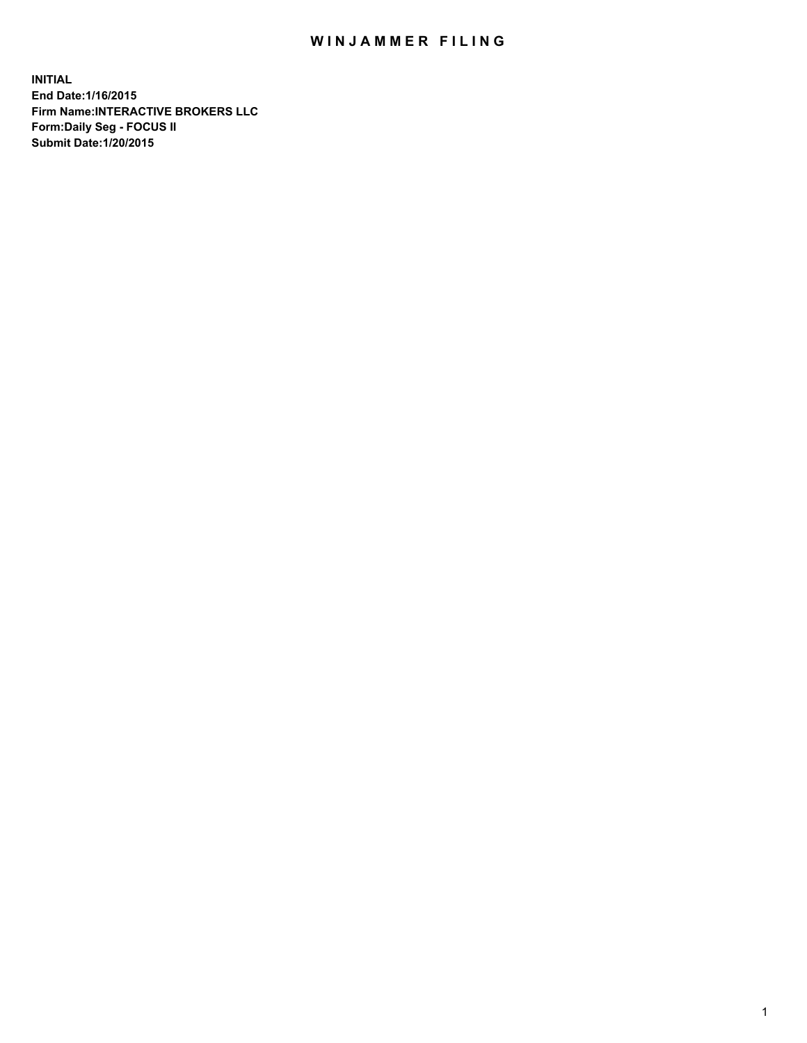## WIN JAMMER FILING

**INITIAL End Date:1/16/2015 Firm Name:INTERACTIVE BROKERS LLC Form:Daily Seg - FOCUS II Submit Date:1/20/2015**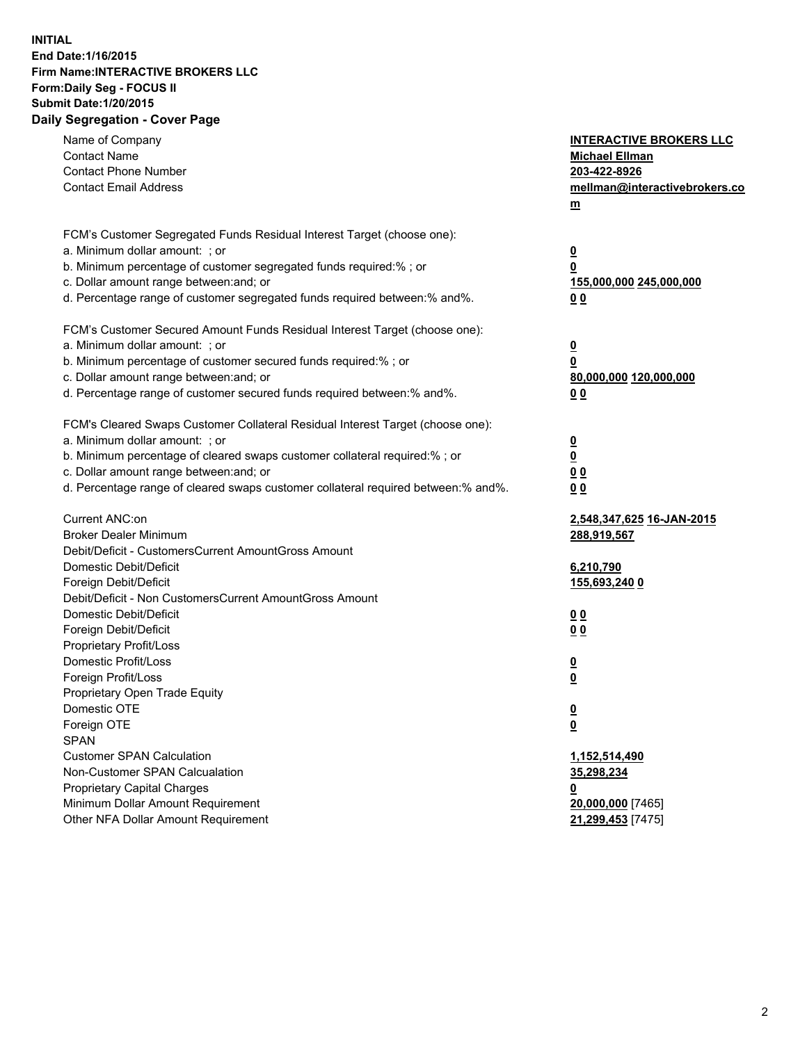## **INITIAL End Date:1/16/2015 Firm Name:INTERACTIVE BROKERS LLC Form:Daily Seg - FOCUS II Submit Date:1/20/2015 Daily Segregation - Cover Page**

| Name of Company                                                                   | <b>INTERACTIVE BROKERS LLC</b>                     |
|-----------------------------------------------------------------------------------|----------------------------------------------------|
| <b>Contact Name</b>                                                               | <b>Michael Ellman</b>                              |
| <b>Contact Phone Number</b>                                                       | 203-422-8926                                       |
| <b>Contact Email Address</b>                                                      | mellman@interactivebrokers.co                      |
|                                                                                   | $\underline{\mathbf{m}}$                           |
| FCM's Customer Segregated Funds Residual Interest Target (choose one):            |                                                    |
| a. Minimum dollar amount: ; or                                                    | $\overline{\mathbf{0}}$                            |
| b. Minimum percentage of customer segregated funds required:% ; or                | 0                                                  |
| c. Dollar amount range between: and; or                                           | 155,000,000 245,000,000                            |
| d. Percentage range of customer segregated funds required between:% and%.         | 00                                                 |
| FCM's Customer Secured Amount Funds Residual Interest Target (choose one):        |                                                    |
| a. Minimum dollar amount: ; or                                                    | $\overline{\mathbf{0}}$                            |
| b. Minimum percentage of customer secured funds required:% ; or                   | 0                                                  |
| c. Dollar amount range between: and; or                                           | 80,000,000 120,000,000                             |
| d. Percentage range of customer secured funds required between:% and%.            | 00                                                 |
| FCM's Cleared Swaps Customer Collateral Residual Interest Target (choose one):    |                                                    |
| a. Minimum dollar amount: ; or                                                    |                                                    |
| b. Minimum percentage of cleared swaps customer collateral required:% ; or        | $\overline{\mathbf{0}}$<br>$\overline{\mathbf{0}}$ |
| c. Dollar amount range between: and; or                                           |                                                    |
| d. Percentage range of cleared swaps customer collateral required between:% and%. | 0 <sub>0</sub>                                     |
|                                                                                   | 0 <sub>0</sub>                                     |
| Current ANC:on                                                                    | 2,548,347,625 16-JAN-2015                          |
| <b>Broker Dealer Minimum</b>                                                      | 288,919,567                                        |
| Debit/Deficit - CustomersCurrent AmountGross Amount                               |                                                    |
| Domestic Debit/Deficit                                                            | 6,210,790                                          |
| Foreign Debit/Deficit                                                             | 155,693,240 0                                      |
| Debit/Deficit - Non CustomersCurrent AmountGross Amount                           |                                                    |
| Domestic Debit/Deficit                                                            | 0 <sub>0</sub>                                     |
| Foreign Debit/Deficit                                                             | 0 <sub>0</sub>                                     |
| Proprietary Profit/Loss                                                           |                                                    |
| Domestic Profit/Loss                                                              | $\overline{\mathbf{0}}$                            |
| Foreign Profit/Loss                                                               | $\underline{\mathbf{0}}$                           |
| Proprietary Open Trade Equity                                                     |                                                    |
| Domestic OTE                                                                      | <u>0</u>                                           |
| Foreign OTE                                                                       | <u>0</u>                                           |
| <b>SPAN</b>                                                                       |                                                    |
| <b>Customer SPAN Calculation</b>                                                  | 1,152,514,490                                      |
| Non-Customer SPAN Calcualation                                                    | 35,298,234                                         |
| Proprietary Capital Charges                                                       | <u>0</u>                                           |
| Minimum Dollar Amount Requirement                                                 | 20,000,000 [7465]                                  |
| Other NFA Dollar Amount Requirement                                               | 21,299,453 [7475]                                  |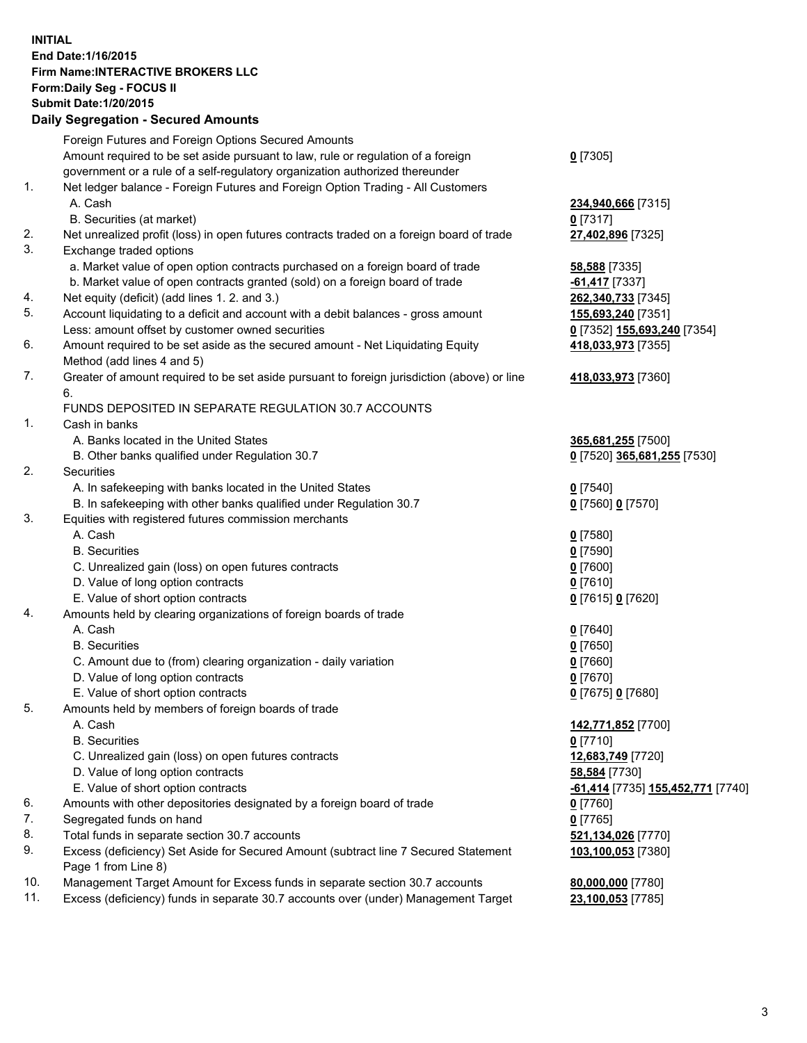## **INITIAL End Date:1/16/2015 Firm Name:INTERACTIVE BROKERS LLC Form:Daily Seg - FOCUS II Submit Date:1/20/2015 Daily Segregation - Secured Amounts**

|     | Foreign Futures and Foreign Options Secured Amounts                                         |                                   |
|-----|---------------------------------------------------------------------------------------------|-----------------------------------|
|     | Amount required to be set aside pursuant to law, rule or regulation of a foreign            | $0$ [7305]                        |
|     | government or a rule of a self-regulatory organization authorized thereunder                |                                   |
| 1.  | Net ledger balance - Foreign Futures and Foreign Option Trading - All Customers             |                                   |
|     | A. Cash                                                                                     | 234,940,666 [7315]                |
|     | B. Securities (at market)                                                                   | $0$ [7317]                        |
| 2.  | Net unrealized profit (loss) in open futures contracts traded on a foreign board of trade   | 27,402,896 [7325]                 |
| 3.  | Exchange traded options                                                                     |                                   |
|     | a. Market value of open option contracts purchased on a foreign board of trade              | 58,588 [7335]                     |
|     | b. Market value of open contracts granted (sold) on a foreign board of trade                | -61,417 [7337]                    |
| 4.  | Net equity (deficit) (add lines 1.2. and 3.)                                                | 262,340,733 [7345]                |
| 5.  | Account liquidating to a deficit and account with a debit balances - gross amount           | 155,693,240 [7351]                |
|     | Less: amount offset by customer owned securities                                            | 0 [7352] 155,693,240 [7354]       |
| 6.  | Amount required to be set aside as the secured amount - Net Liquidating Equity              | 418,033,973 [7355]                |
|     | Method (add lines 4 and 5)                                                                  |                                   |
| 7.  | Greater of amount required to be set aside pursuant to foreign jurisdiction (above) or line | 418,033,973 [7360]                |
|     | 6.                                                                                          |                                   |
|     | FUNDS DEPOSITED IN SEPARATE REGULATION 30.7 ACCOUNTS                                        |                                   |
| 1.  | Cash in banks                                                                               |                                   |
|     | A. Banks located in the United States                                                       | 365,681,255 [7500]                |
|     | B. Other banks qualified under Regulation 30.7                                              | 0 [7520] 365,681,255 [7530]       |
| 2.  | Securities                                                                                  |                                   |
|     | A. In safekeeping with banks located in the United States                                   | $0$ [7540]                        |
|     | B. In safekeeping with other banks qualified under Regulation 30.7                          | 0 [7560] 0 [7570]                 |
| 3.  | Equities with registered futures commission merchants                                       |                                   |
|     | A. Cash                                                                                     | $0$ [7580]                        |
|     | <b>B.</b> Securities                                                                        | $0$ [7590]                        |
|     | C. Unrealized gain (loss) on open futures contracts                                         | $0$ [7600]                        |
|     | D. Value of long option contracts                                                           | $0$ [7610]                        |
|     | E. Value of short option contracts                                                          | 0 [7615] 0 [7620]                 |
| 4.  | Amounts held by clearing organizations of foreign boards of trade                           |                                   |
|     | A. Cash                                                                                     | $0$ [7640]                        |
|     | <b>B.</b> Securities                                                                        | $0$ [7650]                        |
|     | C. Amount due to (from) clearing organization - daily variation                             | $0$ [7660]                        |
|     | D. Value of long option contracts                                                           | $0$ [7670]                        |
|     | E. Value of short option contracts                                                          | 0 [7675] 0 [7680]                 |
| 5.  | Amounts held by members of foreign boards of trade                                          |                                   |
|     | A. Cash                                                                                     | 142,771,852 [7700]                |
|     | <b>B.</b> Securities                                                                        | $0$ [7710]                        |
|     | C. Unrealized gain (loss) on open futures contracts                                         | 12,683,749 [7720]                 |
|     | D. Value of long option contracts                                                           | 58,584 [7730]                     |
|     | E. Value of short option contracts                                                          | -61,414 [7735] 155,452,771 [7740] |
| 6.  | Amounts with other depositories designated by a foreign board of trade                      | $0$ [7760]                        |
| 7.  | Segregated funds on hand                                                                    | $0$ [7765]                        |
| 8.  | Total funds in separate section 30.7 accounts                                               | 521,134,026 [7770]                |
| 9.  | Excess (deficiency) Set Aside for Secured Amount (subtract line 7 Secured Statement         | 103,100,053 [7380]                |
|     | Page 1 from Line 8)                                                                         |                                   |
| 10. | Management Target Amount for Excess funds in separate section 30.7 accounts                 | 80,000,000 [7780]                 |
| 11. | Excess (deficiency) funds in separate 30.7 accounts over (under) Management Target          | 23,100,053 [7785]                 |
|     |                                                                                             |                                   |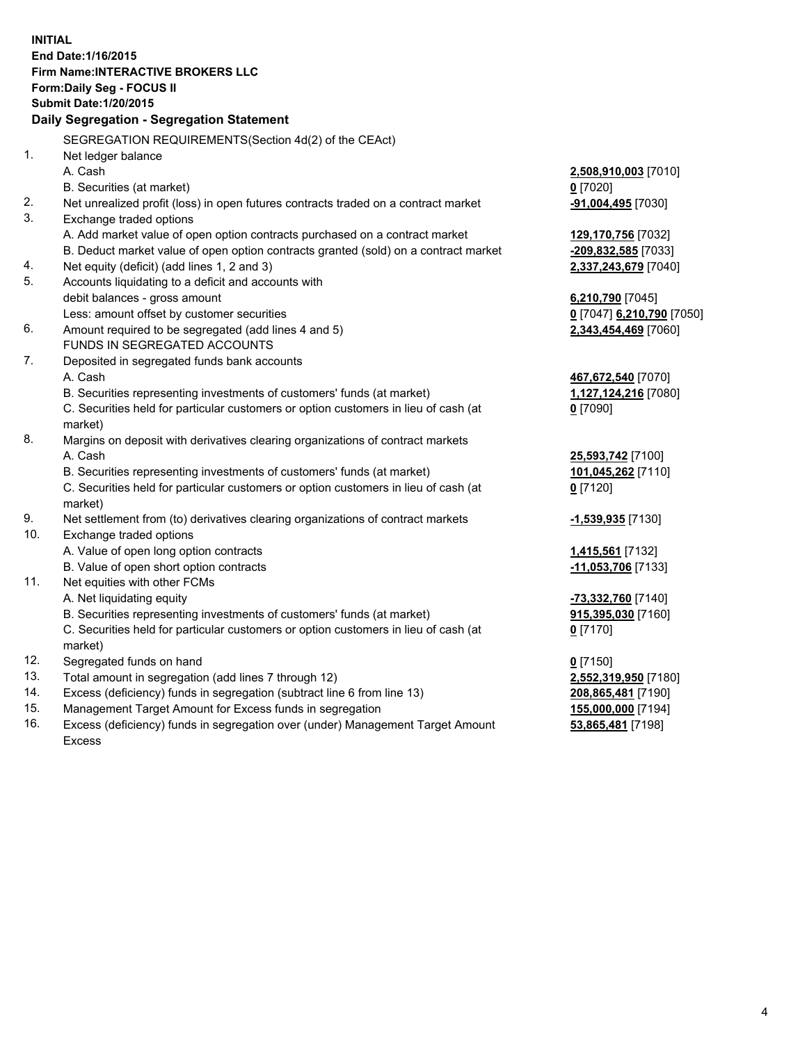**INITIAL End Date:1/16/2015 Firm Name:INTERACTIVE BROKERS LLC Form:Daily Seg - FOCUS II Submit Date:1/20/2015 Daily Segregation - Segregation Statement** SEGREGATION REQUIREMENTS(Section 4d(2) of the CEAct) 1. Net ledger balance A. Cash **2,508,910,003** [7010] B. Securities (at market) **0** [7020] 2. Net unrealized profit (loss) in open futures contracts traded on a contract market **-91,004,495** [7030] 3. Exchange traded options A. Add market value of open option contracts purchased on a contract market **129,170,756** [7032] B. Deduct market value of open option contracts granted (sold) on a contract market **-209,832,585** [7033] 4. Net equity (deficit) (add lines 1, 2 and 3) **2,337,243,679** [7040] 5. Accounts liquidating to a deficit and accounts with debit balances - gross amount **6,210,790** [7045] Less: amount offset by customer securities **0** [7047] **6,210,790** [7050] 6. Amount required to be segregated (add lines 4 and 5) **2,343,454,469** [7060] FUNDS IN SEGREGATED ACCOUNTS 7. Deposited in segregated funds bank accounts A. Cash **467,672,540** [7070] B. Securities representing investments of customers' funds (at market) **1,127,124,216** [7080] C. Securities held for particular customers or option customers in lieu of cash (at market) **0** [7090] 8. Margins on deposit with derivatives clearing organizations of contract markets A. Cash **25,593,742** [7100] B. Securities representing investments of customers' funds (at market) **101,045,262** [7110] C. Securities held for particular customers or option customers in lieu of cash (at market) **0** [7120] 9. Net settlement from (to) derivatives clearing organizations of contract markets **-1,539,935** [7130] 10. Exchange traded options A. Value of open long option contracts **1,415,561** [7132] B. Value of open short option contracts **-11,053,706** [7133] 11. Net equities with other FCMs A. Net liquidating equity **-73,332,760** [7140] B. Securities representing investments of customers' funds (at market) **915,395,030** [7160] C. Securities held for particular customers or option customers in lieu of cash (at market) **0** [7170] 12. Segregated funds on hand **0** [7150] 13. Total amount in segregation (add lines 7 through 12) **2,552,319,950** [7180] 14. Excess (deficiency) funds in segregation (subtract line 6 from line 13) **208,865,481** [7190] 15. Management Target Amount for Excess funds in segregation **155,000,000** [7194]

16. Excess (deficiency) funds in segregation over (under) Management Target Amount Excess

**53,865,481** [7198]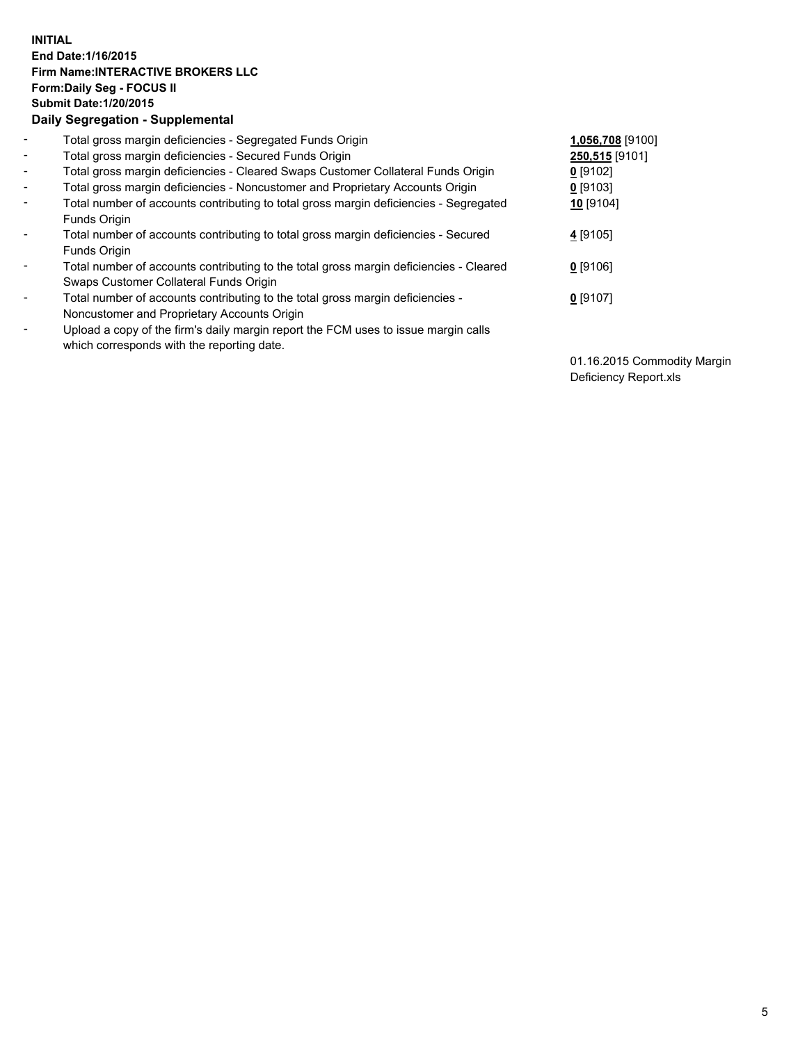## **INITIAL End Date:1/16/2015 Firm Name:INTERACTIVE BROKERS LLC Form:Daily Seg - FOCUS II Submit Date:1/20/2015 Daily Segregation - Supplemental**

| $\blacksquare$           | Total gross margin deficiencies - Segregated Funds Origin                              | 1,056,708 [9100] |
|--------------------------|----------------------------------------------------------------------------------------|------------------|
| $\blacksquare$           | Total gross margin deficiencies - Secured Funds Origin                                 | 250,515 [9101]   |
| $\blacksquare$           | Total gross margin deficiencies - Cleared Swaps Customer Collateral Funds Origin       | $0$ [9102]       |
| $\blacksquare$           | Total gross margin deficiencies - Noncustomer and Proprietary Accounts Origin          | $0$ [9103]       |
| $\blacksquare$           | Total number of accounts contributing to total gross margin deficiencies - Segregated  | 10 [9104]        |
|                          | Funds Origin                                                                           |                  |
| $\blacksquare$           | Total number of accounts contributing to total gross margin deficiencies - Secured     | 4 [9105]         |
|                          | Funds Origin                                                                           |                  |
| $\overline{\phantom{a}}$ | Total number of accounts contributing to the total gross margin deficiencies - Cleared | $0$ [9106]       |
|                          | Swaps Customer Collateral Funds Origin                                                 |                  |
| $\blacksquare$           | Total number of accounts contributing to the total gross margin deficiencies -         | $0$ [9107]       |
|                          | Noncustomer and Proprietary Accounts Origin                                            |                  |
| $\blacksquare$           | Upload a copy of the firm's daily margin report the FCM uses to issue margin calls     |                  |
|                          | which corresponds with the reporting date.                                             |                  |

01.16.2015 Commodity Margin Deficiency Report.xls